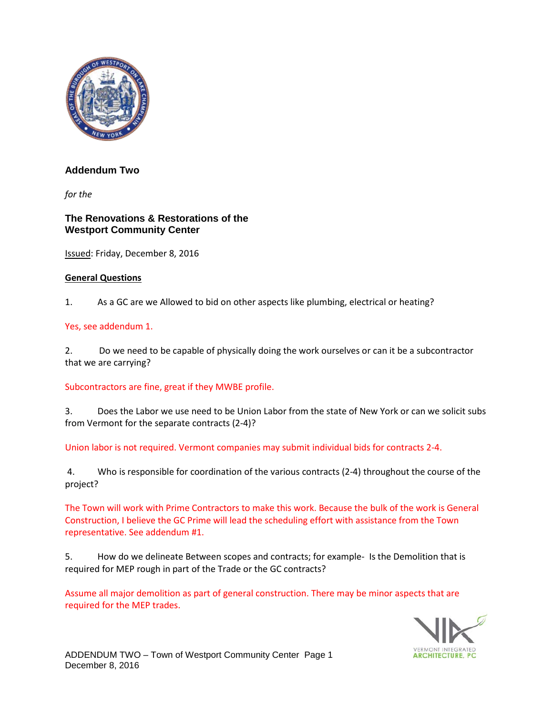

# **Addendum Two**

*for the* 

## **The Renovations & Restorations of the Westport Community Center**

Issued: Friday, December 8, 2016

## **General Questions**

1. As a GC are we Allowed to bid on other aspects like plumbing, electrical or heating?

#### Yes, see addendum 1.

2. Do we need to be capable of physically doing the work ourselves or can it be a subcontractor that we are carrying?

#### Subcontractors are fine, great if they MWBE profile.

3. Does the Labor we use need to be Union Labor from the state of New York or can we solicit subs from Vermont for the separate contracts (2-4)?

Union labor is not required. Vermont companies may submit individual bids for contracts 2-4.

4. Who is responsible for coordination of the various contracts (2-4) throughout the course of the project?

The Town will work with Prime Contractors to make this work. Because the bulk of the work is General Construction, I believe the GC Prime will lead the scheduling effort with assistance from the Town representative. See addendum #1.

5. How do we delineate Between scopes and contracts; for example- Is the Demolition that is required for MEP rough in part of the Trade or the GC contracts?

Assume all major demolition as part of general construction. There may be minor aspects that are required for the MEP trades.

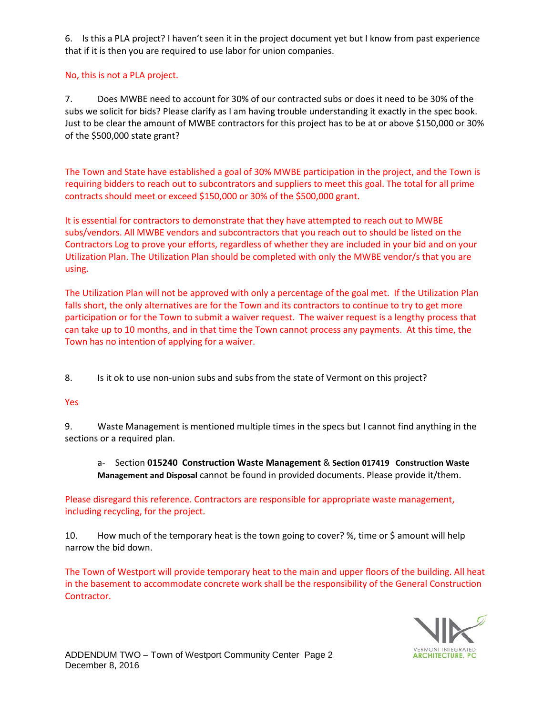6. Is this a PLA project? I haven't seen it in the project document yet but I know from past experience that if it is then you are required to use labor for union companies.

## No, this is not a PLA project.

7. Does MWBE need to account for 30% of our contracted subs or does it need to be 30% of the subs we solicit for bids? Please clarify as I am having trouble understanding it exactly in the spec book. Just to be clear the amount of MWBE contractors for this project has to be at or above \$150,000 or 30% of the \$500,000 state grant?

The Town and State have established a goal of 30% MWBE participation in the project, and the Town is requiring bidders to reach out to subcontrators and suppliers to meet this goal. The total for all prime contracts should meet or exceed \$150,000 or 30% of the \$500,000 grant.

It is essential for contractors to demonstrate that they have attempted to reach out to MWBE subs/vendors. All MWBE vendors and subcontractors that you reach out to should be listed on the Contractors Log to prove your efforts, regardless of whether they are included in your bid and on your Utilization Plan. The Utilization Plan should be completed with only the MWBE vendor/s that you are using.

The Utilization Plan will not be approved with only a percentage of the goal met. If the Utilization Plan falls short, the only alternatives are for the Town and its contractors to continue to try to get more participation or for the Town to submit a waiver request. The waiver request is a lengthy process that can take up to 10 months, and in that time the Town cannot process any payments. At this time, the Town has no intention of applying for a waiver.

8. Is it ok to use non-union subs and subs from the state of Vermont on this project?

## Yes

9. Waste Management is mentioned multiple times in the specs but I cannot find anything in the sections or a required plan.

a- Section **015240 Construction Waste Management** & **Section 017419 Construction Waste Management and Disposal** cannot be found in provided documents. Please provide it/them.

Please disregard this reference. Contractors are responsible for appropriate waste management, including recycling, for the project.

10. How much of the temporary heat is the town going to cover? %, time or \$ amount will help narrow the bid down.

The Town of Westport will provide temporary heat to the main and upper floors of the building. All heat in the basement to accommodate concrete work shall be the responsibility of the General Construction Contractor.

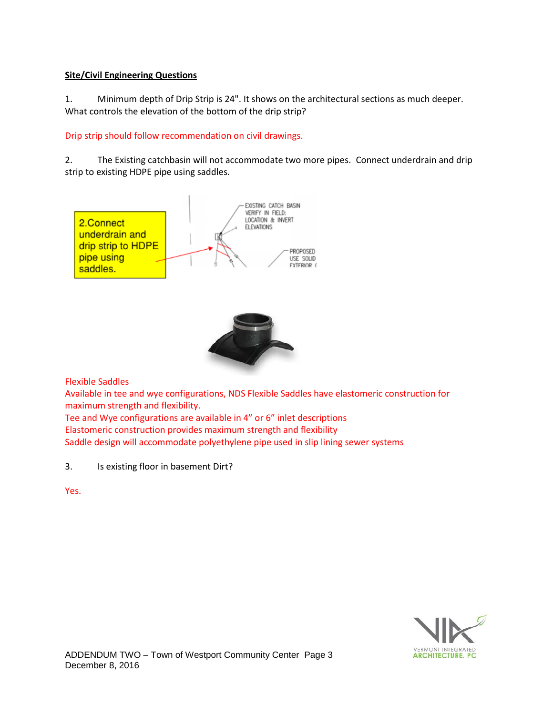## **Site/Civil Engineering Questions**

1. Minimum depth of Drip Strip is 24". It shows on the architectural sections as much deeper. What controls the elevation of the bottom of the drip strip?

## Drip strip should follow recommendation on civil drawings.

2. The Existing catchbasin will not accommodate two more pipes. Connect underdrain and drip strip to existing HDPE pipe using saddles.





Flexible Saddles

Available in tee and wye configurations, NDS Flexible Saddles have elastomeric construction for maximum strength and flexibility.

Tee and Wye configurations are available in 4" or 6" inlet descriptions Elastomeric construction provides maximum strength and flexibility Saddle design will accommodate polyethylene pipe used in slip lining sewer systems

3. Is existing floor in basement Dirt?

Yes.

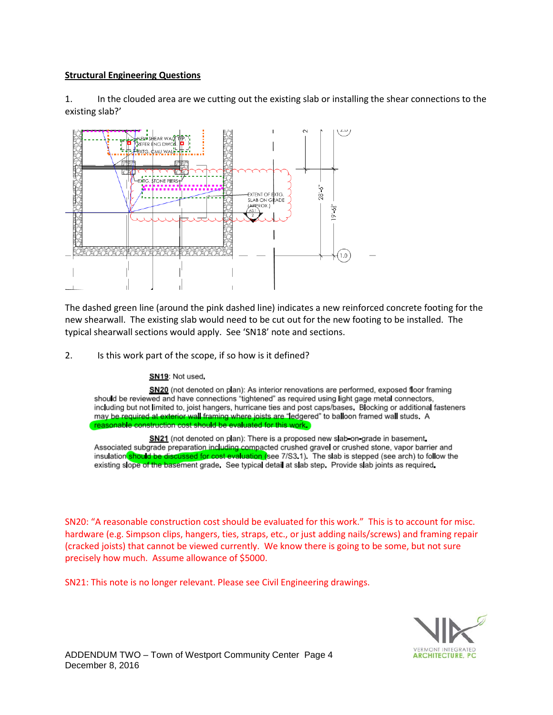## **Structural Engineering Questions**

1. In the clouded area are we cutting out the existing slab or installing the shear connections to the existing slab?'



The dashed green line (around the pink dashed line) indicates a new reinforced concrete footing for the new shearwall. The existing slab would need to be cut out for the new footing to be installed. The typical shearwall sections would apply. See 'SN18' note and sections.

2. Is this work part of the scope, if so how is it defined?

#### SN19: Not used.

SN20 (not denoted on plan): As interior renovations are performed, exposed floor framing should be reviewed and have connections "tightened" as required using light gage metal connectors, including but not limited to, joist hangers, hurricane ties and post caps/bases. Blocking or additional fasteners may be required at exterior wall framing where joists are "ledgered" to balloon framed wall studs. A reasonable construction cost should be evaluated for this work.

SN21 (not denoted on plan): There is a proposed new slab-on-grade in basement. Associated subgrade preparation including compacted crushed gravel or crushed stone, vapor barrier and insulation should be discussed for cost evaluation (see 7/S3.1). The slab is stepped (see arch) to follow the existing slope of the basement grade. See typical detail at slab step. Provide slab joints as required.

SN20: "A reasonable construction cost should be evaluated for this work." This is to account for misc. hardware (e.g. Simpson clips, hangers, ties, straps, etc., or just adding nails/screws) and framing repair (cracked joists) that cannot be viewed currently. We know there is going to be some, but not sure precisely how much. Assume allowance of \$5000.

SN21: This note is no longer relevant. Please see Civil Engineering drawings.

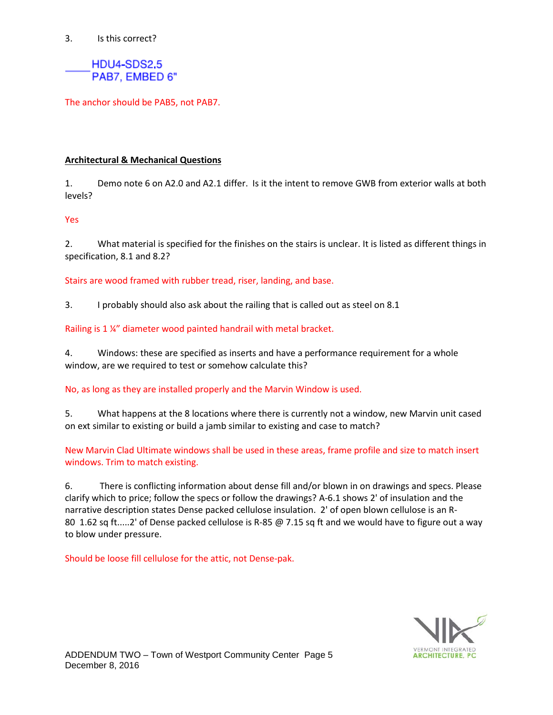### 3. Is this correct?

HDU4-SDS2,5 PAB7, EMBED 6"

The anchor should be PAB5, not PAB7.

## **Architectural & Mechanical Questions**

1. Demo note 6 on A2.0 and A2.1 differ. Is it the intent to remove GWB from exterior walls at both levels?

#### Yes

2. What material is specified for the finishes on the stairs is unclear. It is listed as different things in specification, 8.1 and 8.2?

Stairs are wood framed with rubber tread, riser, landing, and base.

3. I probably should also ask about the railing that is called out as steel on 8.1

Railing is 1 ¼" diameter wood painted handrail with metal bracket.

4. Windows: these are specified as inserts and have a performance requirement for a whole window, are we required to test or somehow calculate this?

#### No, as long as they are installed properly and the Marvin Window is used.

5. What happens at the 8 locations where there is currently not a window, new Marvin unit cased on ext similar to existing or build a jamb similar to existing and case to match?

New Marvin Clad Ultimate windows shall be used in these areas, frame profile and size to match insert windows. Trim to match existing.

6. There is conflicting information about dense fill and/or blown in on drawings and specs. Please clarify which to price; follow the specs or follow the drawings? A-6.1 shows 2' of insulation and the narrative description states Dense packed cellulose insulation. 2' of open blown cellulose is an R-80 1.62 sq ft.....2' of Dense packed cellulose is R-85 @ 7.15 sq ft and we would have to figure out a way to blow under pressure.

Should be loose fill cellulose for the attic, not Dense-pak.